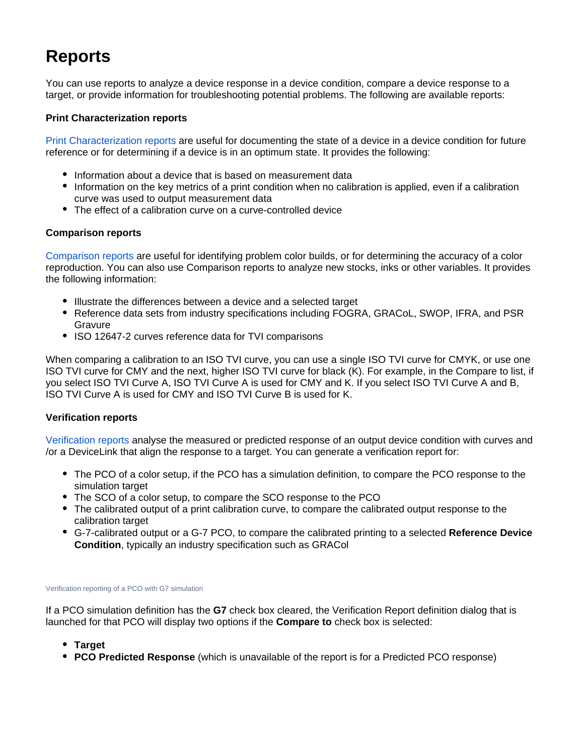# **Reports**

You can use reports to analyze a device response in a device condition, compare a device response to a target, or provide information for troubleshooting potential problems. The following are available reports:

### **Print Characterization reports**

[Print Characterization reports](https://workflowhelp.kodak.com/display/COLORFLOW83/Generating+a+Print+Characterization+report) are useful for documenting the state of a device in a device condition for future reference or for determining if a device is in an optimum state. It provides the following:

- Information about a device that is based on measurement data
- Information on the key metrics of a print condition when no calibration is applied, even if a calibration curve was used to output measurement data
- The effect of a calibration curve on a curve-controlled device

### **Comparison reports**

[Comparison reports](https://workflowhelp.kodak.com/display/COLORFLOW83/Generating+a+Print+Comparison+report) are useful for identifying problem color builds, or for determining the accuracy of a color reproduction. You can also use Comparison reports to analyze new stocks, inks or other variables. It provides the following information:

- Illustrate the differences between a device and a selected target
- Reference data sets from industry specifications including FOGRA, GRACoL, SWOP, IFRA, and PSR Gravure
- ISO 12647-2 curves reference data for TVI comparisons

When comparing a calibration to an ISO TVI curve, you can use a single ISO TVI curve for CMYK, or use one ISO TVI curve for CMY and the next, higher ISO TVI curve for black (K). For example, in the Compare to list, if you select ISO TVI Curve A, ISO TVI Curve A is used for CMY and K. If you select ISO TVI Curve A and B, ISO TVI Curve A is used for CMY and ISO TVI Curve B is used for K.

#### **Verification reports**

[Verification reports](https://workflowhelp.kodak.com/display/COLORFLOW/Generating+a+Verification+report) analyse the measured or predicted response of an output device condition with curves and /or a DeviceLink that align the response to a target. You can generate a verification report for:

- The PCO of a color setup, if the PCO has a simulation definition, to compare the PCO response to the simulation target
- The SCO of a color setup, to compare the SCO response to the PCO
- The calibrated output of a print calibration curve, to compare the calibrated output response to the calibration target
- G-7-calibrated output or a G-7 PCO, to compare the calibrated printing to a selected **Reference Device Condition**, typically an industry specification such as GRACol

#### Verification reporting of a PCO with G7 simulation

If a PCO simulation definition has the **G7** check box cleared, the Verification Report definition dialog that is launched for that PCO will display two options if the **Compare to** check box is selected:

- **Target**
- **PCO Predicted Response** (which is unavailable of the report is for a Predicted PCO response)